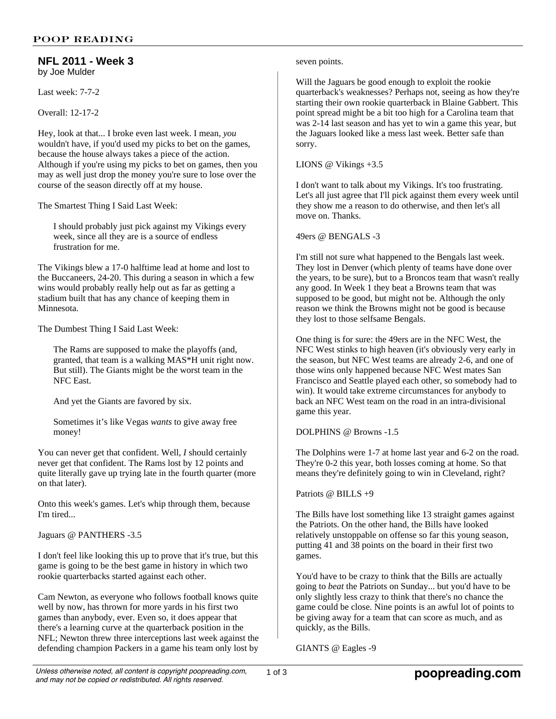# **NFL 2011 - Week 3** by Joe Mulder

Last week: 7-7-2

Overall: 12-17-2

Hey, look at that... I broke even last week. I mean, *you* wouldn't have, if you'd used my picks to bet on the games, because the house always takes a piece of the action. Although if you're using my picks to bet on games, then you may as well just drop the money you're sure to lose over the course of the season directly off at my house.

The Smartest Thing I Said Last Week:

I should probably just pick against my Vikings every week, since all they are is a source of endless frustration for me.

The Vikings blew a 17-0 halftime lead at home and lost to the Buccaneers, 24-20. This during a season in which a few wins would probably really help out as far as getting a stadium built that has any chance of keeping them in Minnesota.

The Dumbest Thing I Said Last Week:

The Rams are supposed to make the playoffs (and, granted, that team is a walking MAS\*H unit right now. But still). The Giants might be the worst team in the NFC East.

And yet the Giants are favored by six.

Sometimes it's like Vegas *wants* to give away free money!

You can never get that confident. Well, *I* should certainly never get that confident. The Rams lost by 12 points and quite literally gave up trying late in the fourth quarter (more on that later).

Onto this week's games. Let's whip through them, because I'm tired...

Jaguars @ PANTHERS -3.5

I don't feel like looking this up to prove that it's true, but this game is going to be the best game in history in which two rookie quarterbacks started against each other.

Cam Newton, as everyone who follows football knows quite well by now, has thrown for more yards in his first two games than anybody, ever. Even so, it does appear that there's a learning curve at the quarterback position in the NFL; Newton threw three interceptions last week against the defending champion Packers in a game his team only lost by

seven points.

Will the Jaguars be good enough to exploit the rookie quarterback's weaknesses? Perhaps not, seeing as how they're starting their own rookie quarterback in Blaine Gabbert. This point spread might be a bit too high for a Carolina team that was 2-14 last season and has yet to win a game this year, but the Jaguars looked like a mess last week. Better safe than sorry.

LIONS @ Vikings +3.5

I don't want to talk about my Vikings. It's too frustrating. Let's all just agree that I'll pick against them every week until they show me a reason to do otherwise, and then let's all move on. Thanks.

49ers @ BENGALS -3

I'm still not sure what happened to the Bengals last week. They lost in Denver (which plenty of teams have done over the years, to be sure), but to a Broncos team that wasn't really any good. In Week 1 they beat a Browns team that was supposed to be good, but might not be. Although the only reason we think the Browns might not be good is because they lost to those selfsame Bengals.

One thing is for sure: the 49ers are in the NFC West, the NFC West stinks to high heaven (it's obviously very early in the season, but NFC West teams are already 2-6, and one of those wins only happened because NFC West mates San Francisco and Seattle played each other, so somebody had to win). It would take extreme circumstances for anybody to back an NFC West team on the road in an intra-divisional game this year.

DOLPHINS @ Browns -1.5

The Dolphins were 1-7 at home last year and 6-2 on the road. They're 0-2 this year, both losses coming at home. So that means they're definitely going to win in Cleveland, right?

Patriots @ BILLS +9

The Bills have lost something like 13 straight games against the Patriots. On the other hand, the Bills have looked relatively unstoppable on offense so far this young season, putting 41 and 38 points on the board in their first two games.

You'd have to be crazy to think that the Bills are actually going to *beat* the Patriots on Sunday... but you'd have to be only slightly less crazy to think that there's no chance the game could be close. Nine points is an awful lot of points to be giving away for a team that can score as much, and as quickly, as the Bills.

GIANTS @ Eagles -9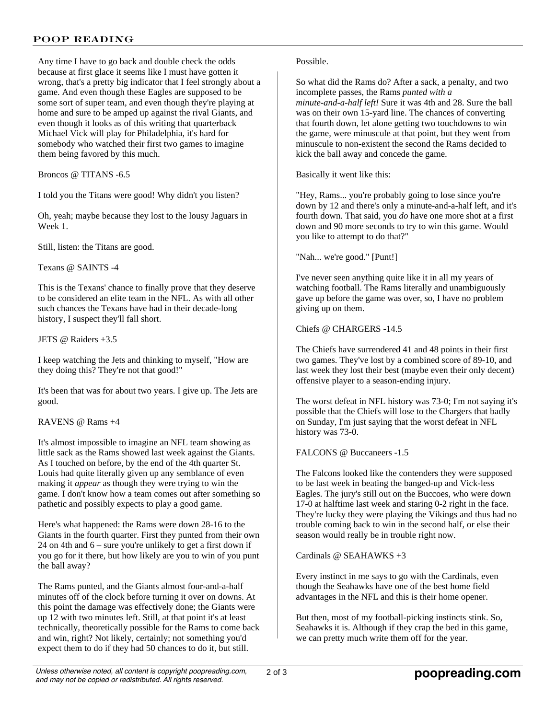Any time I have to go back and double check the odds because at first glace it seems like I must have gotten it wrong, that's a pretty big indicator that I feel strongly about a game. And even though these Eagles are supposed to be some sort of super team, and even though they're playing at home and sure to be amped up against the rival Giants, and even though it looks as of this writing that quarterback Michael Vick will play for Philadelphia, it's hard for somebody who watched their first two games to imagine them being favored by this much.

Broncos @ TITANS -6.5

I told you the Titans were good! Why didn't you listen?

Oh, yeah; maybe because they lost to the lousy Jaguars in Week 1.

Still, listen: the Titans are good.

Texans @ SAINTS -4

This is the Texans' chance to finally prove that they deserve to be considered an elite team in the NFL. As with all other such chances the Texans have had in their decade-long history, I suspect they'll fall short.

JETS @ Raiders +3.5

I keep watching the Jets and thinking to myself, "How are they doing this? They're not that good!"

It's been that was for about two years. I give up. The Jets are good.

## RAVENS @ Rams +4

It's almost impossible to imagine an NFL team showing as little sack as the Rams showed last week against the Giants. As I touched on before, by the end of the 4th quarter St. Louis had quite literally given up any semblance of even making it *appear* as though they were trying to win the game. I don't know how a team comes out after something so pathetic and possibly expects to play a good game.

Here's what happened: the Rams were down 28-16 to the Giants in the fourth quarter. First they punted from their own 24 on 4th and 6 – sure you're unlikely to get a first down if you go for it there, but how likely are you to win of you punt the ball away?

The Rams punted, and the Giants almost four-and-a-half minutes off of the clock before turning it over on downs. At this point the damage was effectively done; the Giants were up 12 with two minutes left. Still, at that point it's at least technically, theoretically possible for the Rams to come back and win, right? Not likely, certainly; not something you'd expect them to do if they had 50 chances to do it, but still.

#### Possible.

So what did the Rams do? After a sack, a penalty, and two incomplete passes, the Rams *punted with a minute-and-a-half left!* Sure it was 4th and 28. Sure the ball was on their own 15-yard line. The chances of converting that fourth down, let alone getting two touchdowns to win the game, were minuscule at that point, but they went from minuscule to non-existent the second the Rams decided to kick the ball away and concede the game.

Basically it went like this:

"Hey, Rams... you're probably going to lose since you're down by 12 and there's only a minute-and-a-half left, and it's fourth down. That said, you *do* have one more shot at a first down and 90 more seconds to try to win this game. Would you like to attempt to do that?"

"Nah... we're good." [Punt!]

I've never seen anything quite like it in all my years of watching football. The Rams literally and unambiguously gave up before the game was over, so, I have no problem giving up on them.

## Chiefs @ CHARGERS -14.5

The Chiefs have surrendered 41 and 48 points in their first two games. They've lost by a combined score of 89-10, and last week they lost their best (maybe even their only decent) offensive player to a season-ending injury.

The worst defeat in NFL history was 73-0; I'm not saying it's possible that the Chiefs will lose to the Chargers that badly on Sunday, I'm just saying that the worst defeat in NFL history was 73-0.

FALCONS @ Buccaneers -1.5

The Falcons looked like the contenders they were supposed to be last week in beating the banged-up and Vick-less Eagles. The jury's still out on the Buccoes, who were down 17-0 at halftime last week and staring 0-2 right in the face. They're lucky they were playing the Vikings and thus had no trouble coming back to win in the second half, or else their season would really be in trouble right now.

Cardinals @ SEAHAWKS +3

Every instinct in me says to go with the Cardinals, even though the Seahawks have one of the best home field advantages in the NFL and this is their home opener.

But then, most of my football-picking instincts stink. So, Seahawks it is. Although if they crap the bed in this game, we can pretty much write them off for the year.